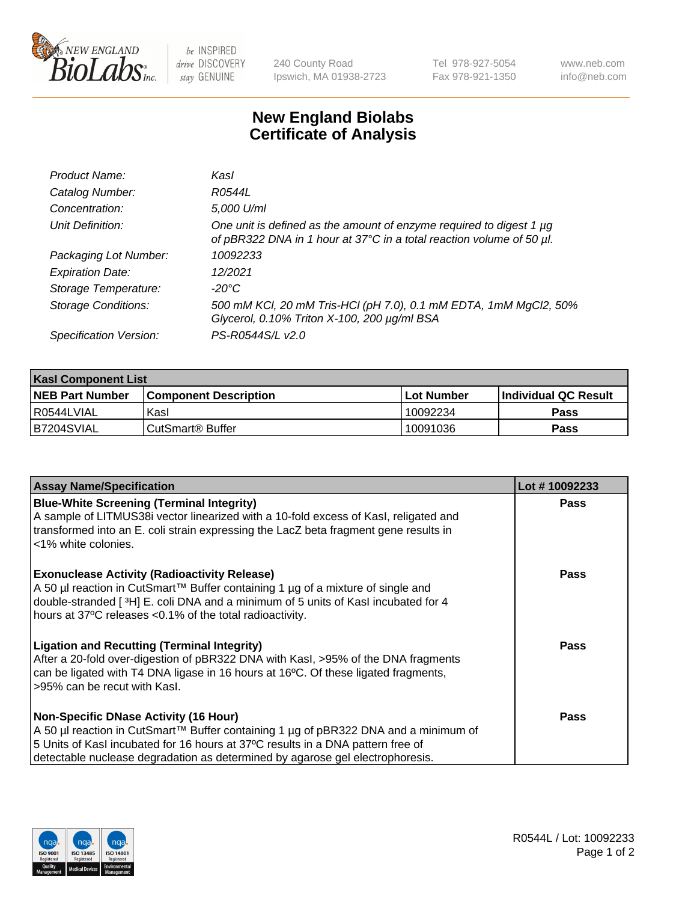

be INSPIRED drive DISCOVERY stay GENUINE

240 County Road Ipswich, MA 01938-2723 Tel 978-927-5054 Fax 978-921-1350

www.neb.com info@neb.com

## **New England Biolabs Certificate of Analysis**

| Product Name:              | Kasl                                                                                                                                        |
|----------------------------|---------------------------------------------------------------------------------------------------------------------------------------------|
| Catalog Number:            | R0544L                                                                                                                                      |
| Concentration:             | 5,000 U/ml                                                                                                                                  |
| Unit Definition:           | One unit is defined as the amount of enzyme required to digest 1 µg<br>of pBR322 DNA in 1 hour at 37°C in a total reaction volume of 50 µl. |
| Packaging Lot Number:      | 10092233                                                                                                                                    |
| <b>Expiration Date:</b>    | 12/2021                                                                                                                                     |
| Storage Temperature:       | -20°C                                                                                                                                       |
| <b>Storage Conditions:</b> | 500 mM KCl, 20 mM Tris-HCl (pH 7.0), 0.1 mM EDTA, 1mM MgCl2, 50%<br>Glycerol, 0.10% Triton X-100, 200 µg/ml BSA                             |
| Specification Version:     | PS-R0544S/L v2.0                                                                                                                            |

| <b>Kasl Component List</b> |                              |                   |                             |  |  |
|----------------------------|------------------------------|-------------------|-----------------------------|--|--|
| <b>NEB Part Number</b>     | <b>Component Description</b> | <b>Lot Number</b> | <b>Individual QC Result</b> |  |  |
| I R0544LVIAL               | Kasl                         | 10092234          | <b>Pass</b>                 |  |  |
| B7204SVIAL                 | l CutSmart® Buffer           | 10091036          | Pass                        |  |  |

| <b>Assay Name/Specification</b>                                                                                                                                                                                                                                                                         | Lot #10092233 |
|---------------------------------------------------------------------------------------------------------------------------------------------------------------------------------------------------------------------------------------------------------------------------------------------------------|---------------|
| <b>Blue-White Screening (Terminal Integrity)</b><br>A sample of LITMUS38i vector linearized with a 10-fold excess of Kasl, religated and<br>transformed into an E. coli strain expressing the LacZ beta fragment gene results in<br><1% white colonies.                                                 | Pass          |
| <b>Exonuclease Activity (Radioactivity Release)</b><br>A 50 µl reaction in CutSmart™ Buffer containing 1 µg of a mixture of single and<br>double-stranded [3H] E. coli DNA and a minimum of 5 units of Kasl incubated for 4<br>hours at 37°C releases <0.1% of the total radioactivity.                 | <b>Pass</b>   |
| <b>Ligation and Recutting (Terminal Integrity)</b><br>After a 20-fold over-digestion of pBR322 DNA with Kasl, >95% of the DNA fragments<br>can be ligated with T4 DNA ligase in 16 hours at 16°C. Of these ligated fragments,<br>>95% can be recut with Kasl.                                           | Pass          |
| <b>Non-Specific DNase Activity (16 Hour)</b><br>A 50 µl reaction in CutSmart™ Buffer containing 1 µg of pBR322 DNA and a minimum of<br>5 Units of Kasl incubated for 16 hours at 37°C results in a DNA pattern free of<br>detectable nuclease degradation as determined by agarose gel electrophoresis. | Pass          |